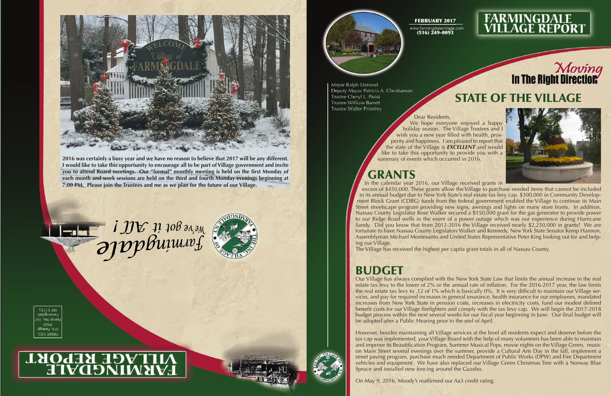

www.farmingdalevillage.com (516) 249-0093

Dear Residents, We hope everyone enjoyed a happy holiday season. The Village Trustees and I wish you a new year filled with health, prosperity and happiness. I am pleased to report that the state of the Village is *EXCELLENT* and would like to take this opportunity to provide you with a summary of events which occurred in 2016.

## **GRANTS**

In the calendar year 2016, our Village received grants in excess of \$450,000. These grants allow the Village to purchase needed items that cannot be included in its annual budget due to New York State's real estate tax levy cap. \$300,000 in Community Development Block Grant (CDBG) funds from the federal government enabled the Village to continue its Main Street streetscape program providing new signs, awnings and lights on many store fronts. In addition, Nassau County Legislator Rose Walker secured a \$150,000 grant for the gas generator to provide power to our Ridge Road wells in the event of a power outage which was our experience during Hurricane Sandy. Did you know that from 2012-2016 the Village received nearly \$2,250,000 in grants? We are fortunate to have Nassau County Legislators Walker and Kennedy, New York State Senator Kemp Hannon, Assemblyman Michael Montesanto and United States Representative Peter King looking out for and helping our Village.

The Village has received the highest per capita grant totals in all of Nassau County.

#### **BUDGET**

Moving<br>In The Right Direction STATE OF THE VILLAGE



Our Village has always complied with the New York State Law that limits the annual increase in the real estate tax levy to the lower of 2% or the annual rate of inflation. For the 2016-2017 year, the law limits the real estate tax levy to .12 of 1% which is basically 0%. It is very difficult to maintain our Village services, and pay for required increases in general insurance, health insurance for our employees, mandated increases from New York State in pension costs, increases in electricity costs, fund our modest defined benefit costs for our Village firefighters and comply with the tax levy cap. We will begin the 2017-2018 budget process within the next several weeks for our fiscal year beginning in June. Our final budget will be adopted after a Public Hearing prior to the end of April.

However, besides maintaining all Village services at the level all residents expect and deserve before the tax cap was implemented, your Village Board with the help of many volunteers has been able to maintain and improve its Beautification Program, Summer Musical Pops, movie nights on the Village Green, music on Main Street several evenings over the summer, provide a Cultural Arts Day in the fall, implement a street paving program, purchase much needed Department of Public Works (DPW) and Fire Department vehicles and equipment. We have also replaced our Village Green Christmas Tree with a Norway Blue Spruce and installed new fencing around the Gazebo.

On May 9, 2016, Moody's reaffirmed our Aa3 credit rating.



# **FARMINGDALE<br>VILLAGE REPORT**

**2016 was certainly a busy year and we have no reason to believe that 2017 will be any different. I would like to take this opportunity to encourage all to be part of Village government and invite you to attend Board meetings. Our "formal" monthly meeting is held on the first Monday of each month and work sessions are held on the third and fourth Monday evenings beginning at 7:00 PM. Please join the Trustees and me as we plan for the future of our Village.**

i DE 11 108 an am



**SEZILAN** Farmingdale  $10^{1}$  on  $10^{1}$ **CIVd** U.S. Postage PRSRT STD.

# **MILAGE REPORT**



Mayor Ralph Ekstrand Deputy Mayor Patricia A. Christiansen Trustee Cheryl L. Parisi **Trustee William Barrett** Trustee Walter Priestley